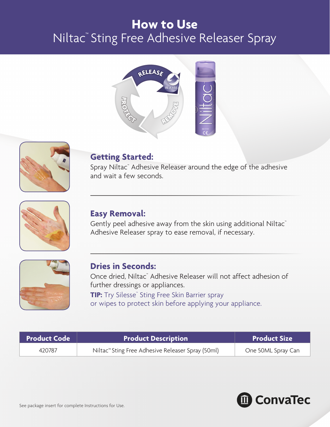# **How to Use**  Niltac™ Sting Free Adhesive Releaser Spray





## **Getting Started:**

Spray Niltac™ Adhesive Releaser around the edge of the adhesive and wait a few seconds.



## **Easy Removal:**

Gently peel adhesive away from the skin using additional Niltac™ Adhesive Releaser spray to ease removal, if necessary.



#### **Dries in Seconds:**

Once dried, Niltac™ Adhesive Releaser will not affect adhesion of further dressings or appliances. TIP: Try Silesse<sup>®</sup> Sting Free Skin Barrier spray

or wipes to protect skin before applying your appliance.

| <b>Product Code</b> | <b>Product Description</b>                                    | <b>Product Size</b> |
|---------------------|---------------------------------------------------------------|---------------------|
| 420787              | Niltac <sup>™</sup> Sting Free Adhesive Releaser Spray (50ml) | One 50ML Spray Can  |